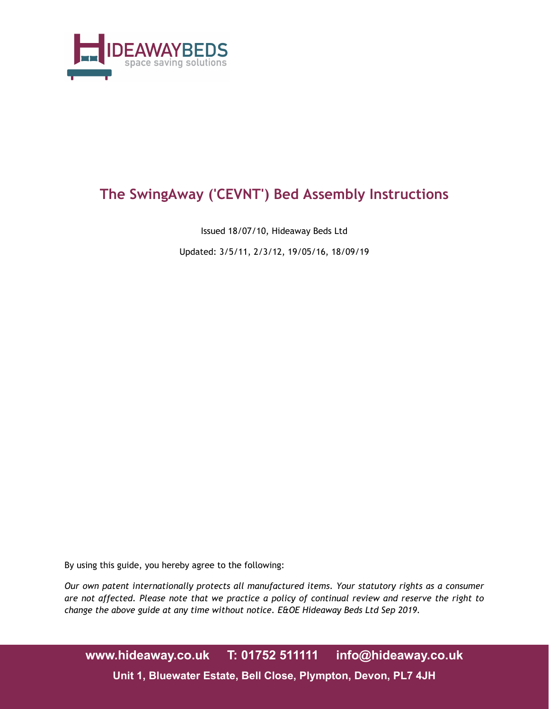

# **The SwingAway ('CEVNT') Bed Assembly Instructions**

Issued 18/07/10, Hideaway Beds Ltd

Updated: 3/5/11, 2/3/12, 19/05/16, 18/09/19

By using this guide, you hereby agree to the following:

*Our own patent internationally protects all manufactured items. Your statutory rights as a consumer are not affected. Please note that we practice a policy of continual review and reserve the right to change the above guide at any time without notice. E&OE Hideaway Beds Ltd Sep 2019.*

**www.hideaway.co.uk T: 01752 511111 info@hideaway.co.uk Unit 1, Bluewater Estate, Bell Close, Plympton, Devon, PL7 4JH**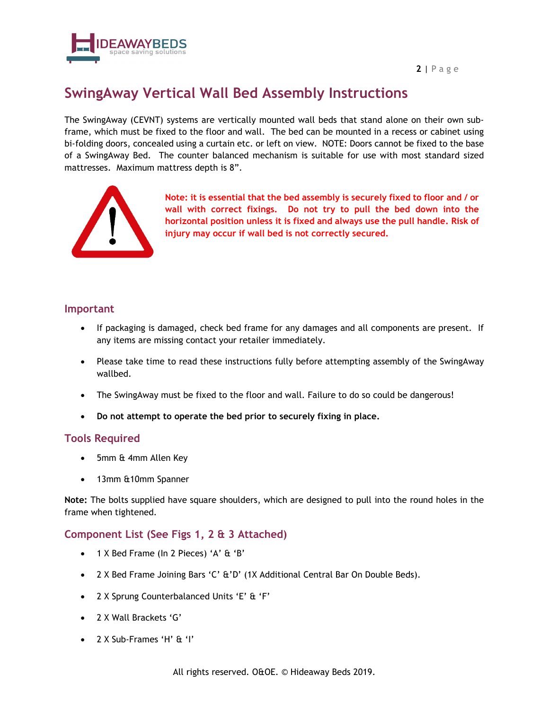**2** | Page



## **SwingAway Vertical Wall Bed Assembly Instructions**

The SwingAway (CEVNT) systems are vertically mounted wall beds that stand alone on their own subframe, which must be fixed to the floor and wall. The bed can be mounted in a recess or cabinet using bi-folding doors, concealed using a curtain etc. or left on view. NOTE: Doors cannot be fixed to the base of a SwingAway Bed. The counter balanced mechanism is suitable for use with most standard sized mattresses. Maximum mattress depth is 8".



**Note: it is essential that the bed assembly is securely fixed to floor and / or wall with correct fixings. Do not try to pull the bed down into the horizontal position unless it is fixed and always use the pull handle. Risk of injury may occur if wall bed is not correctly secured.**

#### **Important**

- If packaging is damaged, check bed frame for any damages and all components are present. If any items are missing contact your retailer immediately.
- Please take time to read these instructions fully before attempting assembly of the SwingAway wallbed.
- The SwingAway must be fixed to the floor and wall. Failure to do so could be dangerous!
- **Do not attempt to operate the bed prior to securely fixing in place.**

#### **Tools Required**

- 5mm & 4mm Allen Key
- 13mm &10mm Spanner

**Note:** The bolts supplied have square shoulders, which are designed to pull into the round holes in the frame when tightened.

#### **Component List (See Figs 1, 2 & 3 Attached)**

- 1 X Bed Frame (In 2 Pieces) 'A' & 'B'
- 2 X Bed Frame Joining Bars 'C' &'D' (1X Additional Central Bar On Double Beds).
- 2 X Sprung Counterbalanced Units 'E' & 'F'
- 2 X Wall Brackets 'G'
- 2 X Sub-Frames 'H' & 'I'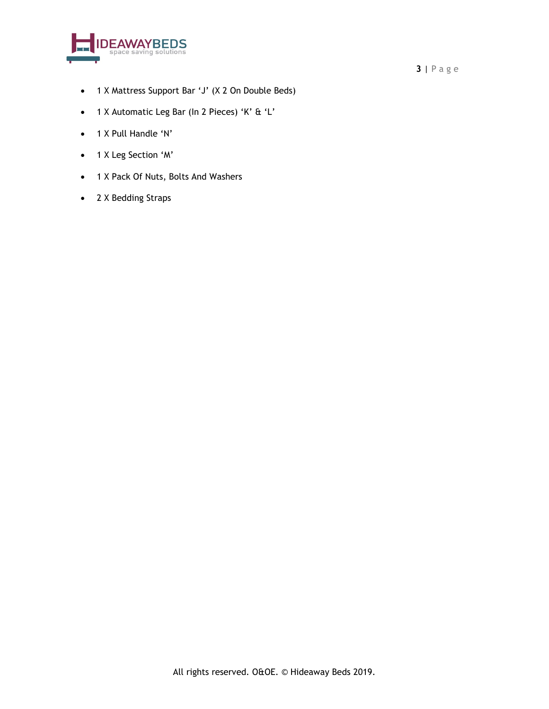

- 1 X Mattress Support Bar 'J' (X 2 On Double Beds)
- 1 X Automatic Leg Bar (In 2 Pieces) 'K' & 'L'
- 1 X Pull Handle 'N'
- 1 X Leg Section 'M'
- 1 X Pack Of Nuts, Bolts And Washers
- 2 X Bedding Straps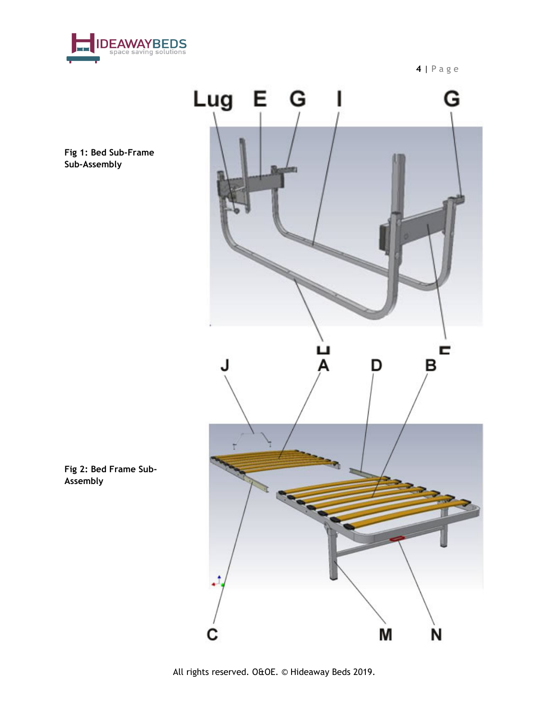

**4** | Page



**Fig 1: Bed Sub-Frame Sub-Assembly**

**Fig 2: Bed Frame Sub-Assembly**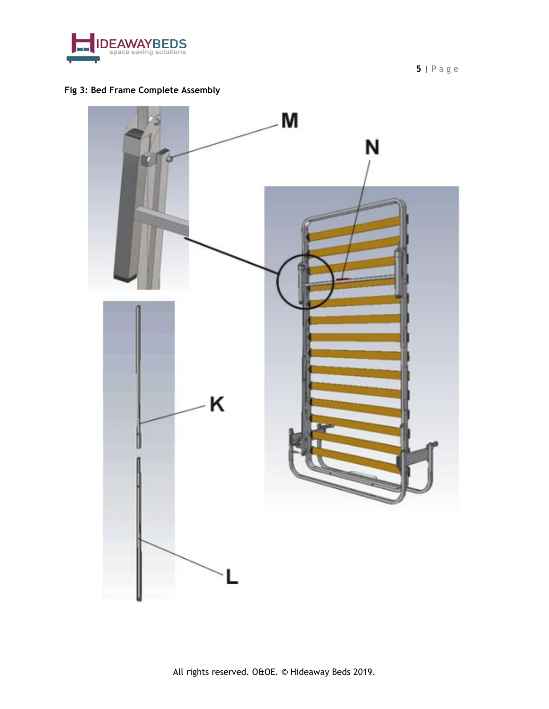

**5** | Page

### **Fig 3: Bed Frame Complete Assembly**

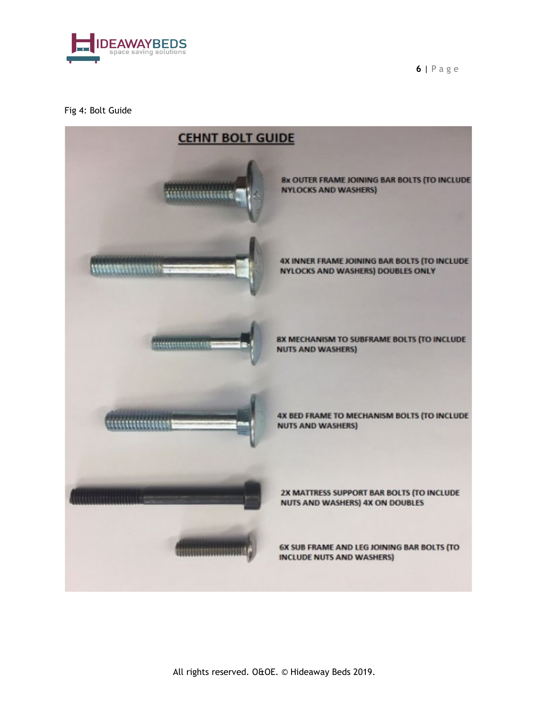

**6** | Page

#### Fig 4: Bolt Guide

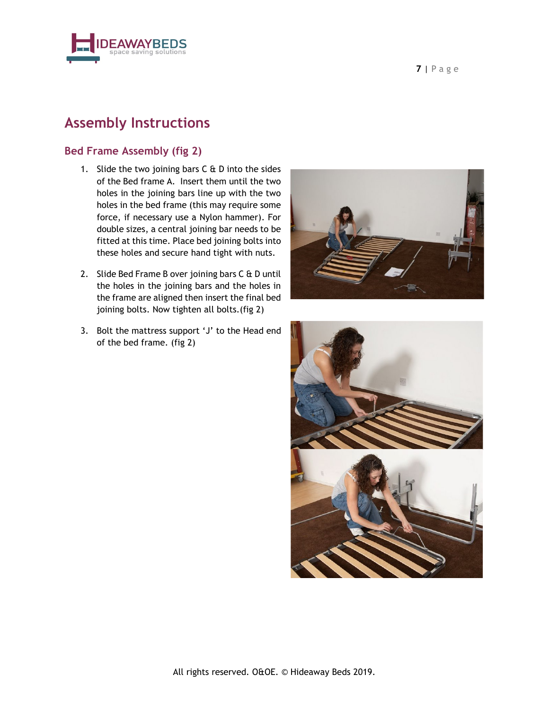



## **Assembly Instructions**

#### **Bed Frame Assembly (fig 2)**

- 1. Slide the two joining bars  $C \oplus D$  into the sides of the Bed frame A. Insert them until the two holes in the joining bars line up with the two holes in the bed frame (this may require some force, if necessary use a Nylon hammer). For double sizes, a central joining bar needs to be fitted at this time. Place bed joining bolts into these holes and secure hand tight with nuts.
- 2. Slide Bed Frame B over joining bars C & D until the holes in the joining bars and the holes in the frame are aligned then insert the final bed joining bolts. Now tighten all bolts.(fig 2)
- 3. Bolt the mattress support 'J' to the Head end of the bed frame. (fig 2)



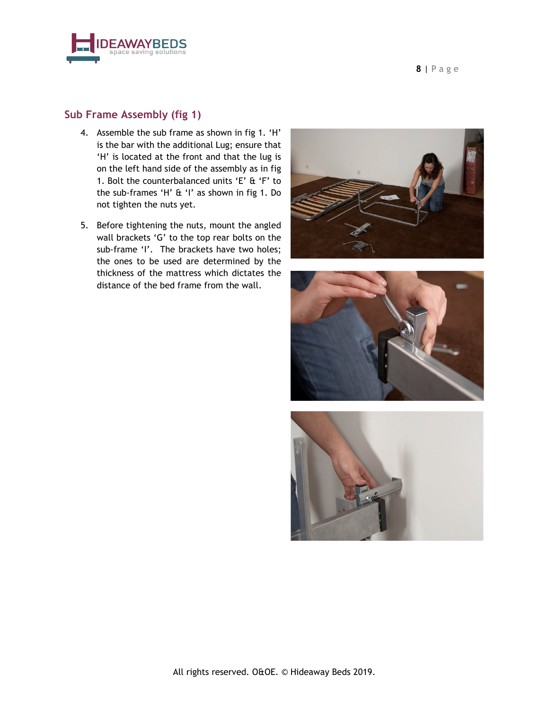



#### **Sub Frame Assembly (fig 1)**

- 4. Assemble the sub frame as shown in fig 1. 'H' is the bar with the additional Lug; ensure that 'H' is located at the front and that the lug is on the left hand side of the assembly as in fig 1. Bolt the counterbalanced units 'E' & 'F' to the sub-frames 'H' & 'I' as shown in fig 1. Do not tighten the nuts yet.
- 5. Before tightening the nuts, mount the angled wall brackets 'G' to the top rear bolts on the sub-frame 'I'. The brackets have two holes; the ones to be used are determined by the thickness of the mattress which dictates the distance of the bed frame from the wall.





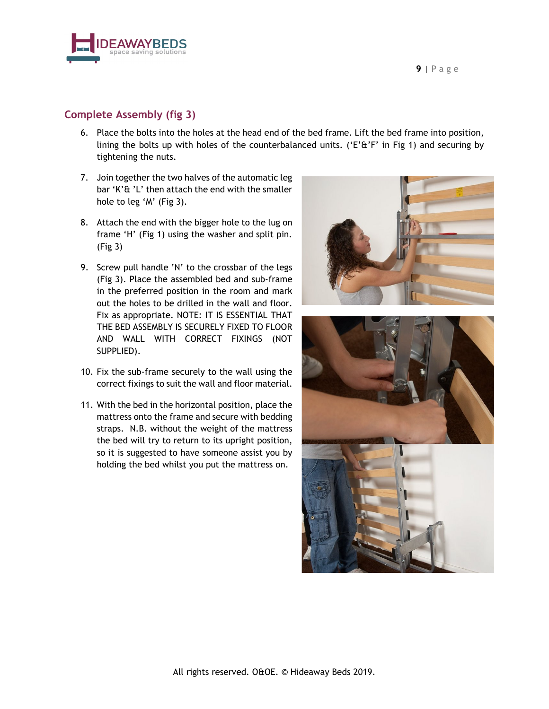



### **Complete Assembly (fig 3)**

- 6. Place the bolts into the holes at the head end of the bed frame. Lift the bed frame into position, lining the bolts up with holes of the counterbalanced units. ('E' $\&$ 'F' in Fig 1) and securing by tightening the nuts.
- 7. Join together the two halves of the automatic leg bar 'K'& 'L' then attach the end with the smaller hole to leg 'M' (Fig 3).
- 8. Attach the end with the bigger hole to the lug on frame 'H' (Fig 1) using the washer and split pin. (Fig 3)
- 9. Screw pull handle 'N' to the crossbar of the legs (Fig 3). Place the assembled bed and sub-frame in the preferred position in the room and mark out the holes to be drilled in the wall and floor. Fix as appropriate. NOTE: IT IS ESSENTIAL THAT THE BED ASSEMBLY IS SECURELY FIXED TO FLOOR AND WALL WITH CORRECT FIXINGS (NOT SUPPLIED).
- 10. Fix the sub-frame securely to the wall using the correct fixings to suit the wall and floor material.
- 11. With the bed in the horizontal position, place the mattress onto the frame and secure with bedding straps. N.B. without the weight of the mattress the bed will try to return to its upright position, so it is suggested to have someone assist you by holding the bed whilst you put the mattress on.